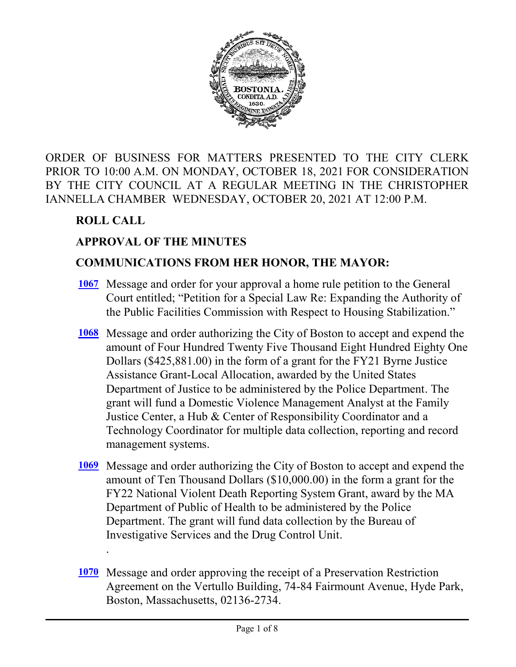

ORDER OF BUSINESS FOR MATTERS PRESENTED TO THE CITY CLERK PRIOR TO 10:00 A.M. ON MONDAY, OCTOBER 18, 2021 FOR CONSIDERATION BY THE CITY COUNCIL AT A REGULAR MEETING IN THE CHRISTOPHER IANNELLA CHAMBER WEDNESDAY, OCTOBER 20, 2021 AT 12:00 P.M.

# **ROLL CALL**

.

# **APPROVAL OF THE MINUTES**

#### **COMMUNICATIONS FROM HER HONOR, THE MAYOR:**

- [1067](http://boston.legistar.com/gateway.aspx?m=l&id=/matter.aspx?key=4911) Message and order for your approval a home rule petition to the General Court entitled; "Petition for a Special Law Re: Expanding the Authority of the Public Facilities Commission with Respect to Housing Stabilization."
- [1068](http://boston.legistar.com/gateway.aspx?m=l&id=/matter.aspx?key=4907) Message and order authorizing the City of Boston to accept and expend the amount of Four Hundred Twenty Five Thousand Eight Hundred Eighty One Dollars (\$425,881.00) in the form of a grant for the FY21 Byrne Justice Assistance Grant-Local Allocation, awarded by the United States Department of Justice to be administered by the Police Department. The grant will fund a Domestic Violence Management Analyst at the Family Justice Center, a Hub & Center of Responsibility Coordinator and a Technology Coordinator for multiple data collection, reporting and record management systems.
- [1069](http://boston.legistar.com/gateway.aspx?m=l&id=/matter.aspx?key=4932) Message and order authorizing the City of Boston to accept and expend the amount of Ten Thousand Dollars (\$10,000.00) in the form a grant for the FY22 National Violent Death Reporting System Grant, award by the MA Department of Public of Health to be administered by the Police Department. The grant will fund data collection by the Bureau of Investigative Services and the Drug Control Unit.
- [1070](http://boston.legistar.com/gateway.aspx?m=l&id=/matter.aspx?key=4908) Message and order approving the receipt of a Preservation Restriction Agreement on the Vertullo Building, 74-84 Fairmount Avenue, Hyde Park, Boston, Massachusetts, 02136-2734.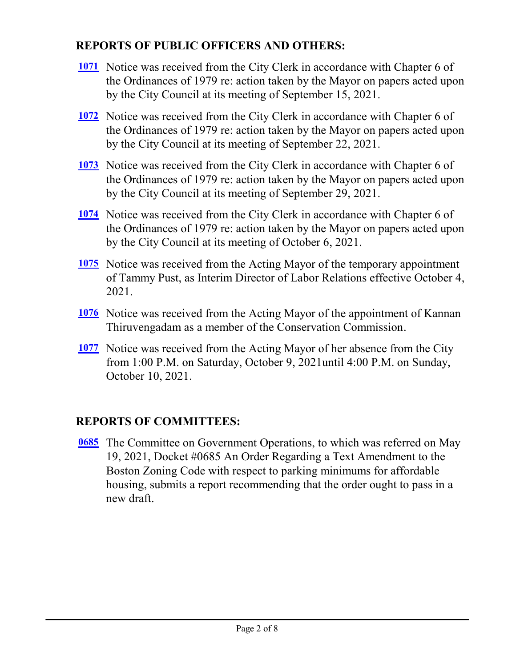## **REPORTS OF PUBLIC OFFICERS AND OTHERS:**

- [1071](http://boston.legistar.com/gateway.aspx?m=l&id=/matter.aspx?key=4909) Notice was received from the City Clerk in accordance with Chapter 6 of the Ordinances of 1979 re: action taken by the Mayor on papers acted upon by the City Council at its meeting of September 15, 2021.
- [1072](http://boston.legistar.com/gateway.aspx?m=l&id=/matter.aspx?key=4883) Notice was received from the City Clerk in accordance with Chapter 6 of the Ordinances of 1979 re: action taken by the Mayor on papers acted upon by the City Council at its meeting of September 22, 2021.
- [1073](http://boston.legistar.com/gateway.aspx?m=l&id=/matter.aspx?key=4884) Notice was received from the City Clerk in accordance with Chapter 6 of the Ordinances of 1979 re: action taken by the Mayor on papers acted upon by the City Council at its meeting of September 29, 2021.
- [1074](http://boston.legistar.com/gateway.aspx?m=l&id=/matter.aspx?key=4885) Notice was received from the City Clerk in accordance with Chapter 6 of the Ordinances of 1979 re: action taken by the Mayor on papers acted upon by the City Council at its meeting of October 6, 2021.
- [1075](http://boston.legistar.com/gateway.aspx?m=l&id=/matter.aspx?key=4940) Notice was received from the Acting Mayor of the temporary appointment of Tammy Pust, as Interim Director of Labor Relations effective October 4, 2021.
- [1076](http://boston.legistar.com/gateway.aspx?m=l&id=/matter.aspx?key=4886) Notice was received from the Acting Mayor of the appointment of Kannan Thiruvengadam as a member of the Conservation Commission.
- [1077](http://boston.legistar.com/gateway.aspx?m=l&id=/matter.aspx?key=4905) Notice was received from the Acting Mayor of her absence from the City from 1:00 P.M. on Saturday, October 9, 2021until 4:00 P.M. on Sunday, October 10, 2021.

## **REPORTS OF COMMITTEES:**

**[0685](http://boston.legistar.com/gateway.aspx?m=l&id=/matter.aspx?key=4685)** The Committee on Government Operations, to which was referred on May 19, 2021, Docket #0685 An Order Regarding a Text Amendment to the Boston Zoning Code with respect to parking minimums for affordable housing, submits a report recommending that the order ought to pass in a new draft.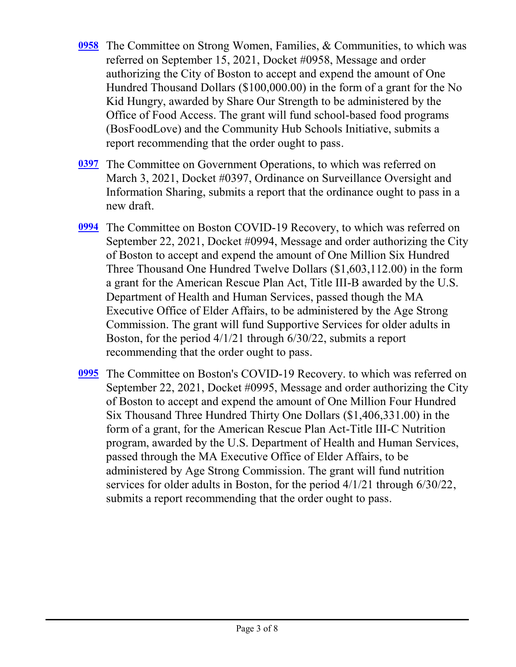- The Committee on Strong Women, Families, & Communities, to which was **[0958](http://boston.legistar.com/gateway.aspx?m=l&id=/matter.aspx?key=4755)** referred on September 15, 2021, Docket #0958, Message and order authorizing the City of Boston to accept and expend the amount of One Hundred Thousand Dollars (\$100,000.00) in the form of a grant for the No Kid Hungry, awarded by Share Our Strength to be administered by the Office of Food Access. The grant will fund school-based food programs (BosFoodLove) and the Community Hub Schools Initiative, submits a report recommending that the order ought to pass.
- [0397](http://boston.legistar.com/gateway.aspx?m=l&id=/matter.aspx?key=4770) The Committee on Government Operations, to which was referred on March 3, 2021, Docket #0397, Ordinance on Surveillance Oversight and Information Sharing, submits a report that the ordinance ought to pass in a new draft.
- The Committee on Boston COVID-19 Recovery, to which was referred on **[0994](http://boston.legistar.com/gateway.aspx?m=l&id=/matter.aspx?key=4788)** September 22, 2021, Docket #0994, Message and order authorizing the City of Boston to accept and expend the amount of One Million Six Hundred Three Thousand One Hundred Twelve Dollars (\$1,603,112.00) in the form a grant for the American Rescue Plan Act, Title III-B awarded by the U.S. Department of Health and Human Services, passed though the MA Executive Office of Elder Affairs, to be administered by the Age Strong Commission. The grant will fund Supportive Services for older adults in Boston, for the period 4/1/21 through 6/30/22, submits a report recommending that the order ought to pass.
- The Committee on Boston's COVID-19 Recovery. to which was referred on **[0995](http://boston.legistar.com/gateway.aspx?m=l&id=/matter.aspx?key=4789)** September 22, 2021, Docket #0995, Message and order authorizing the City of Boston to accept and expend the amount of One Million Four Hundred Six Thousand Three Hundred Thirty One Dollars (\$1,406,331.00) in the form of a grant, for the American Rescue Plan Act-Title III-C Nutrition program, awarded by the U.S. Department of Health and Human Services, passed through the MA Executive Office of Elder Affairs, to be administered by Age Strong Commission. The grant will fund nutrition services for older adults in Boston, for the period 4/1/21 through 6/30/22, submits a report recommending that the order ought to pass.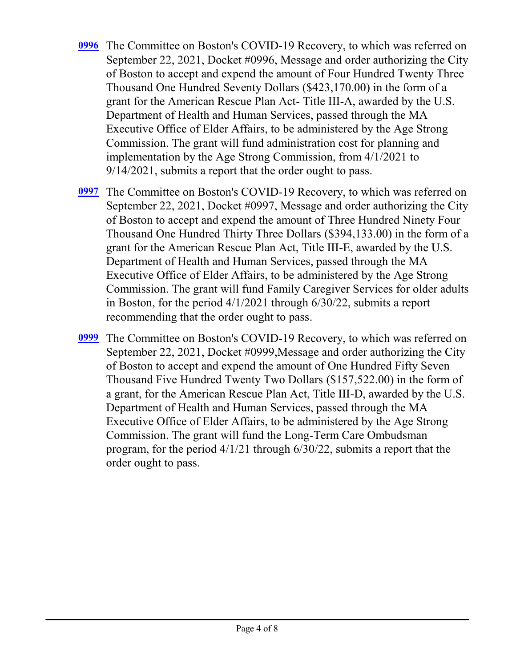- The Committee on Boston's COVID-19 Recovery, to which was referred on **[0996](http://boston.legistar.com/gateway.aspx?m=l&id=/matter.aspx?key=4790)** September 22, 2021, Docket #0996, Message and order authorizing the City of Boston to accept and expend the amount of Four Hundred Twenty Three Thousand One Hundred Seventy Dollars (\$423,170.00) in the form of a grant for the American Rescue Plan Act- Title III-A, awarded by the U.S. Department of Health and Human Services, passed through the MA Executive Office of Elder Affairs, to be administered by the Age Strong Commission. The grant will fund administration cost for planning and implementation by the Age Strong Commission, from 4/1/2021 to 9/14/2021, submits a report that the order ought to pass.
- The Committee on Boston's COVID-19 Recovery, to which was referred on **[0997](http://boston.legistar.com/gateway.aspx?m=l&id=/matter.aspx?key=4791)** September 22, 2021, Docket #0997, Message and order authorizing the City of Boston to accept and expend the amount of Three Hundred Ninety Four Thousand One Hundred Thirty Three Dollars (\$394,133.00) in the form of a grant for the American Rescue Plan Act, Title III-E, awarded by the U.S. Department of Health and Human Services, passed through the MA Executive Office of Elder Affairs, to be administered by the Age Strong Commission. The grant will fund Family Caregiver Services for older adults in Boston, for the period 4/1/2021 through 6/30/22, submits a report recommending that the order ought to pass.
- The Committee on Boston's COVID-19 Recovery, to which was referred on **[0999](http://boston.legistar.com/gateway.aspx?m=l&id=/matter.aspx?key=4792)** September 22, 2021, Docket #0999,Message and order authorizing the City of Boston to accept and expend the amount of One Hundred Fifty Seven Thousand Five Hundred Twenty Two Dollars (\$157,522.00) in the form of a grant, for the American Rescue Plan Act, Title III-D, awarded by the U.S. Department of Health and Human Services, passed through the MA Executive Office of Elder Affairs, to be administered by the Age Strong Commission. The grant will fund the Long-Term Care Ombudsman program, for the period 4/1/21 through 6/30/22, submits a report that the order ought to pass.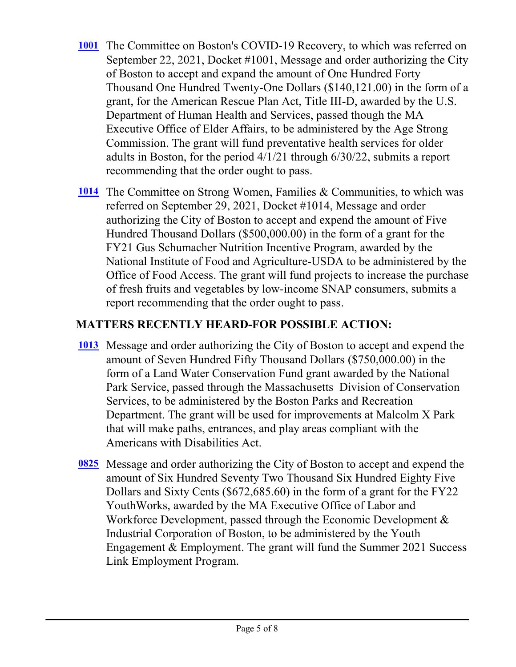- [1001](http://boston.legistar.com/gateway.aspx?m=l&id=/matter.aspx?key=4793) The Committee on Boston's COVID-19 Recovery, to which was referred on September 22, 2021, Docket #1001, Message and order authorizing the City of Boston to accept and expand the amount of One Hundred Forty Thousand One Hundred Twenty-One Dollars (\$140,121.00) in the form of a grant, for the American Rescue Plan Act, Title III-D, awarded by the U.S. Department of Human Health and Services, passed though the MA Executive Office of Elder Affairs, to be administered by the Age Strong Commission. The grant will fund preventative health services for older adults in Boston, for the period 4/1/21 through 6/30/22, submits a report recommending that the order ought to pass.
- [1014](http://boston.legistar.com/gateway.aspx?m=l&id=/matter.aspx?key=4815) The Committee on Strong Women, Families & Communities, to which was referred on September 29, 2021, Docket #1014, Message and order authorizing the City of Boston to accept and expend the amount of Five Hundred Thousand Dollars (\$500,000.00) in the form of a grant for the FY21 Gus Schumacher Nutrition Incentive Program, awarded by the National Institute of Food and Agriculture-USDA to be administered by the Office of Food Access. The grant will fund projects to increase the purchase of fresh fruits and vegetables by low-income SNAP consumers, submits a report recommending that the order ought to pass.

# **MATTERS RECENTLY HEARD-FOR POSSIBLE ACTION:**

- [1013](http://boston.legistar.com/gateway.aspx?m=l&id=/matter.aspx?key=4843) Message and order authorizing the City of Boston to accept and expend the amount of Seven Hundred Fifty Thousand Dollars (\$750,000.00) in the form of a Land Water Conservation Fund grant awarded by the National Park Service, passed through the Massachusetts Division of Conservation Services, to be administered by the Boston Parks and Recreation Department. The grant will be used for improvements at Malcolm X Park that will make paths, entrances, and play areas compliant with the Americans with Disabilities Act.
- [0825](http://boston.legistar.com/gateway.aspx?m=l&id=/matter.aspx?key=4622) Message and order authorizing the City of Boston to accept and expend the amount of Six Hundred Seventy Two Thousand Six Hundred Eighty Five Dollars and Sixty Cents (\$672,685.60) in the form of a grant for the FY22 YouthWorks, awarded by the MA Executive Office of Labor and Workforce Development, passed through the Economic Development  $\&$ Industrial Corporation of Boston, to be administered by the Youth Engagement & Employment. The grant will fund the Summer 2021 Success Link Employment Program.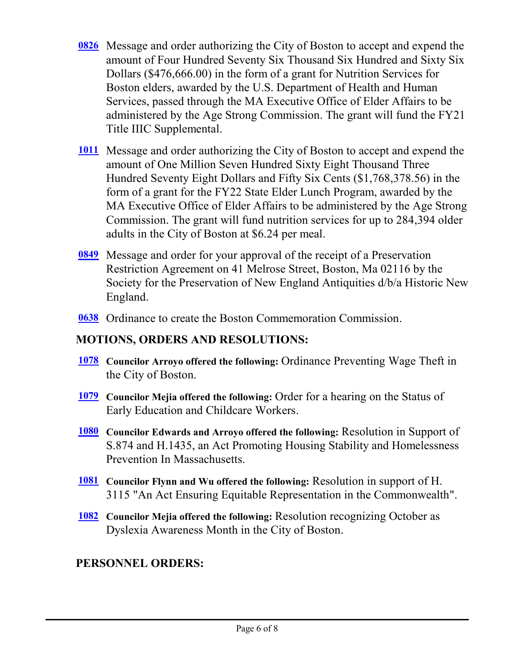- [0826](http://boston.legistar.com/gateway.aspx?m=l&id=/matter.aspx?key=4621) Message and order authorizing the City of Boston to accept and expend the amount of Four Hundred Seventy Six Thousand Six Hundred and Sixty Six Dollars (\$476,666.00) in the form of a grant for Nutrition Services for Boston elders, awarded by the U.S. Department of Health and Human Services, passed through the MA Executive Office of Elder Affairs to be administered by the Age Strong Commission. The grant will fund the FY21 Title IIIC Supplemental.
- [1011](http://boston.legistar.com/gateway.aspx?m=l&id=/matter.aspx?key=4814) Message and order authorizing the City of Boston to accept and expend the amount of One Million Seven Hundred Sixty Eight Thousand Three Hundred Seventy Eight Dollars and Fifty Six Cents (\$1,768,378.56) in the form of a grant for the FY22 State Elder Lunch Program, awarded by the MA Executive Office of Elder Affairs to be administered by the Age Strong Commission. The grant will fund nutrition services for up to 284,394 older adults in the City of Boston at \$6.24 per meal.
- **[0849](http://boston.legistar.com/gateway.aspx?m=l&id=/matter.aspx?key=4733)** Message and order for your approval of the receipt of a Preservation Restriction Agreement on 41 Melrose Street, Boston, Ma 02116 by the Society for the Preservation of New England Antiquities d/b/a Historic New England.
- **[0638](http://boston.legistar.com/gateway.aspx?m=l&id=/matter.aspx?key=4681)** Ordinance to create the Boston Commemoration Commission.

### **MOTIONS, ORDERS AND RESOLUTIONS:**

- **Councilor Arroyo offered the following:** Ordinance Preventing Wage Theft in **[1078](http://boston.legistar.com/gateway.aspx?m=l&id=/matter.aspx?key=4904)** the City of Boston.
- **Councilor Mejia offered the following:** Order for a hearing on the Status of **[1079](http://boston.legistar.com/gateway.aspx?m=l&id=/matter.aspx?key=4900)** Early Education and Childcare Workers.
- **Councilor Edwards and Arroyo offered the following:** Resolution in Support of **[1080](http://boston.legistar.com/gateway.aspx?m=l&id=/matter.aspx?key=4935)** S.874 and H.1435, an Act Promoting Housing Stability and Homelessness Prevention In Massachusetts.
- **Councilor Flynn and Wu offered the following:** Resolution in support of H. **[1081](http://boston.legistar.com/gateway.aspx?m=l&id=/matter.aspx?key=4937)** 3115 "An Act Ensuring Equitable Representation in the Commonwealth".
- **Councilor Mejia offered the following:** Resolution recognizing October as **[1082](http://boston.legistar.com/gateway.aspx?m=l&id=/matter.aspx?key=4938)** Dyslexia Awareness Month in the City of Boston.

#### **PERSONNEL ORDERS:**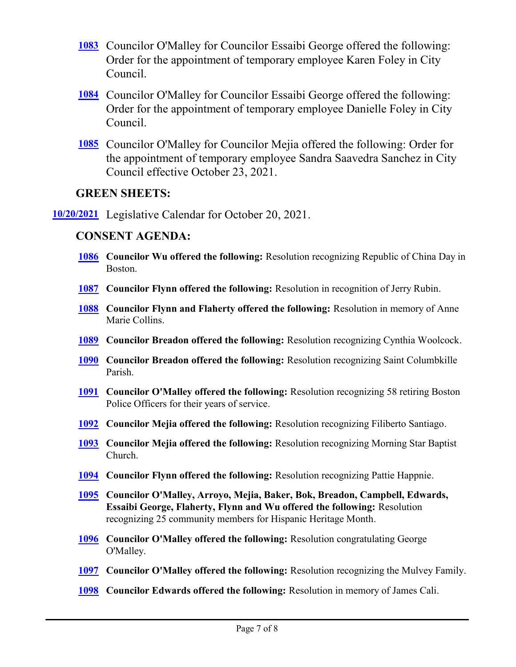- Councilor O'Malley for Councilor Essaibi George offered the following: **[1083](http://boston.legistar.com/gateway.aspx?m=l&id=/matter.aspx?key=4895)** Order for the appointment of temporary employee Karen Foley in City Council.
- Councilor O'Malley for Councilor Essaibi George offered the following: **[1084](http://boston.legistar.com/gateway.aspx?m=l&id=/matter.aspx?key=4897)** Order for the appointment of temporary employee Danielle Foley in City Council.
- Councilor O'Malley for Councilor Mejia offered the following: Order for **[1085](http://boston.legistar.com/gateway.aspx?m=l&id=/matter.aspx?key=4944)** the appointment of temporary employee Sandra Saavedra Sanchez in City Council effective October 23, 2021.

#### **GREEN SHEETS:**

**[10/20/2021](http://boston.legistar.com/gateway.aspx?m=l&id=/matter.aspx?key=4933)** Legislative Calendar for October 20, 2021.

#### **CONSENT AGENDA:**

- **[1086](http://boston.legistar.com/gateway.aspx?m=l&id=/matter.aspx?key=4887)** Councilor Wu offered the following: Resolution recognizing Republic of China Day in Boston.
- **[1087](http://boston.legistar.com/gateway.aspx?m=l&id=/matter.aspx?key=4898) Councilor Flynn offered the following:** Resolution in recognition of Jerry Rubin.
- **[1088](http://boston.legistar.com/gateway.aspx?m=l&id=/matter.aspx?key=4899)** Councilor Flynn and Flaherty offered the following: Resolution in memory of Anne Marie Collins.
- **[1089](http://boston.legistar.com/gateway.aspx?m=l&id=/matter.aspx?key=4901) Councilor Breadon offered the following:** Resolution recognizing Cynthia Woolcock.
- **[1090](http://boston.legistar.com/gateway.aspx?m=l&id=/matter.aspx?key=4902) Councilor Breadon offered the following: Resolution recognizing Saint Columbkille** Parish.
- **[1091](http://boston.legistar.com/gateway.aspx?m=l&id=/matter.aspx?key=4906) Councilor O'Malley offered the following: Resolution recognizing 58 retiring Boston** Police Officers for their years of service.
- **[1092](http://boston.legistar.com/gateway.aspx?m=l&id=/matter.aspx?key=4934) Councilor Mejia offered the following:** Resolution recognizing Filiberto Santiago.
- **[1093](http://boston.legistar.com/gateway.aspx?m=l&id=/matter.aspx?key=4936)** Councilor Mejia offered the following: Resolution recognizing Morning Star Baptist Church.
- **[1094](http://boston.legistar.com/gateway.aspx?m=l&id=/matter.aspx?key=4939) Councilor Flynn offered the following:** Resolution recognizing Pattie Happnie.
- **Councilor O'Malley, Arroyo, Mejia, Baker, Bok, Breadon, Campbell, Edwards, [1095](http://boston.legistar.com/gateway.aspx?m=l&id=/matter.aspx?key=4941) Essaibi George, Flaherty, Flynn and Wu offered the following:** Resolution recognizing 25 community members for Hispanic Heritage Month.
- [1096](http://boston.legistar.com/gateway.aspx?m=l&id=/matter.aspx?key=4942) Councilor O'Malley offered the following: Resolution congratulating George O'Malley.
- **[1097](http://boston.legistar.com/gateway.aspx?m=l&id=/matter.aspx?key=4943) Councilor O'Malley offered the following:** Resolution recognizing the Mulvey Family.
- **[1098](http://boston.legistar.com/gateway.aspx?m=l&id=/matter.aspx?key=4945) Councilor Edwards offered the following:** Resolution in memory of James Cali.